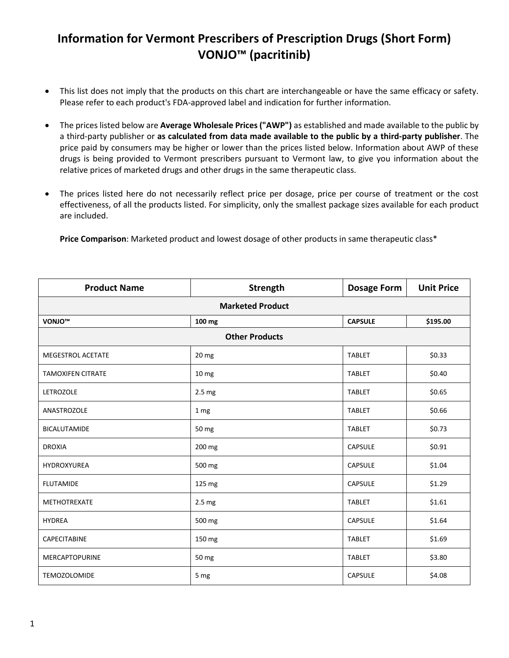## **Information for Vermont Prescribers of Prescription Drugs (Short Form) VONJO™ (pacritinib)**

- This list does not imply that the products on this chart are interchangeable or have the same efficacy or safety. Please refer to each product's FDA-approved label and indication for further information.
- The prices listed below are **Average Wholesale Prices ("AWP")** as established and made available to the public by a third-party publisher or **as calculated from data made available to the public by a third-party publisher**. The price paid by consumers may be higher or lower than the prices listed below. Information about AWP of these drugs is being provided to Vermont prescribers pursuant to Vermont law, to give you information about the relative prices of marketed drugs and other drugs in the same therapeutic class.
- The prices listed here do not necessarily reflect price per dosage, price per course of treatment or the cost effectiveness, of all the products listed. For simplicity, only the smallest package sizes available for each product are included.

**Price Comparison**: Marketed product and lowest dosage of other products in same therapeutic class\*

| <b>Product Name</b>      | Strength              | <b>Dosage Form</b> | <b>Unit Price</b> |
|--------------------------|-----------------------|--------------------|-------------------|
| <b>Marketed Product</b>  |                       |                    |                   |
| VONJO <sup>™</sup>       | 100 mg                | <b>CAPSULE</b>     | \$195.00          |
|                          | <b>Other Products</b> |                    |                   |
| MEGESTROL ACETATE        | 20 mg                 | <b>TABLET</b>      | \$0.33            |
| <b>TAMOXIFEN CITRATE</b> | 10 <sub>mg</sub>      | <b>TABLET</b>      | \$0.40            |
| LETROZOLE                | 2.5 <sub>mg</sub>     | <b>TABLET</b>      | \$0.65            |
| ANASTROZOLE              | 1 mg                  | <b>TABLET</b>      | \$0.66            |
| <b>BICALUTAMIDE</b>      | 50 mg                 | <b>TABLET</b>      | \$0.73            |
| <b>DROXIA</b>            | 200 mg                | <b>CAPSULE</b>     | \$0.91            |
| HYDROXYUREA              | 500 mg                | <b>CAPSULE</b>     | \$1.04            |
| <b>FLUTAMIDE</b>         | 125 mg                | <b>CAPSULE</b>     | \$1.29            |
| METHOTREXATE             | 2.5 <sub>mg</sub>     | <b>TABLET</b>      | \$1.61            |
| <b>HYDREA</b>            | 500 mg                | <b>CAPSULE</b>     | \$1.64            |
| CAPECITABINE             | 150 mg                | <b>TABLET</b>      | \$1.69            |
| MERCAPTOPURINE           | 50 mg                 | <b>TABLET</b>      | \$3.80            |
| <b>TEMOZOLOMIDE</b>      | 5 mg                  | <b>CAPSULE</b>     | \$4.08            |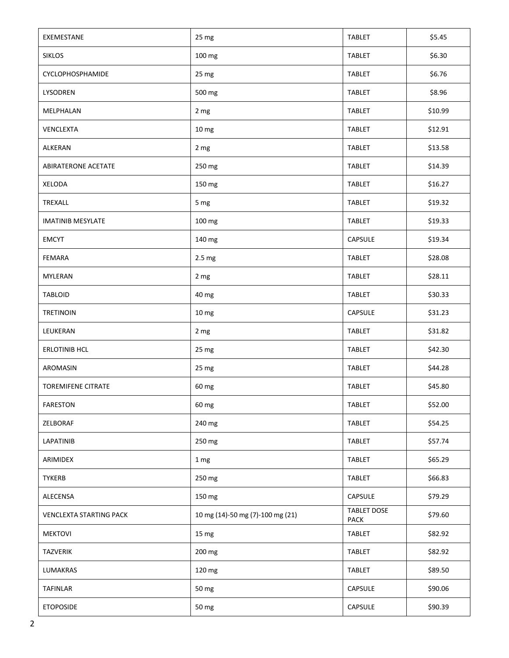| EXEMESTANE                     | 25 mg                            | <b>TABLET</b>              | \$5.45  |
|--------------------------------|----------------------------------|----------------------------|---------|
| <b>SIKLOS</b>                  | 100 mg                           | <b>TABLET</b>              | \$6.30  |
| <b>CYCLOPHOSPHAMIDE</b>        | 25 mg                            | <b>TABLET</b>              | \$6.76  |
| LYSODREN                       | 500 mg                           | <b>TABLET</b>              | \$8.96  |
| MELPHALAN                      | 2 mg                             | <b>TABLET</b>              | \$10.99 |
| <b>VENCLEXTA</b>               | 10 mg                            | <b>TABLET</b>              | \$12.91 |
| ALKERAN                        | 2 mg                             | <b>TABLET</b>              | \$13.58 |
| ABIRATERONE ACETATE            | 250 mg                           | <b>TABLET</b>              | \$14.39 |
| <b>XELODA</b>                  | 150 mg                           | TABLET                     | \$16.27 |
| TREXALL                        | 5 mg                             | <b>TABLET</b>              | \$19.32 |
| <b>IMATINIB MESYLATE</b>       | 100 mg                           | <b>TABLET</b>              | \$19.33 |
| <b>EMCYT</b>                   | 140 mg                           | <b>CAPSULE</b>             | \$19.34 |
| <b>FEMARA</b>                  | 2.5 mg                           | <b>TABLET</b>              | \$28.08 |
| MYLERAN                        | 2 mg                             | <b>TABLET</b>              | \$28.11 |
| <b>TABLOID</b>                 | 40 mg                            | <b>TABLET</b>              | \$30.33 |
| <b>TRETINOIN</b>               | 10 mg                            | CAPSULE                    | \$31.23 |
| LEUKERAN                       | 2 mg                             | <b>TABLET</b>              | \$31.82 |
| <b>ERLOTINIB HCL</b>           | 25 mg                            | <b>TABLET</b>              | \$42.30 |
| AROMASIN                       | 25 mg                            | <b>TABLET</b>              | \$44.28 |
| <b>TOREMIFENE CITRATE</b>      | 60 mg                            | <b>TABLET</b>              | \$45.80 |
| <b>FARESTON</b>                | 60 mg                            | <b>TABLET</b>              | \$52.00 |
| ZELBORAF                       | 240 mg                           | <b>TABLET</b>              | \$54.25 |
| LAPATINIB                      | 250 mg                           | <b>TABLET</b>              | \$57.74 |
| ARIMIDEX                       | 1 mg                             | <b>TABLET</b>              | \$65.29 |
| <b>TYKERB</b>                  | 250 mg                           | <b>TABLET</b>              | \$66.83 |
| ALECENSA                       | 150 mg                           | CAPSULE                    | \$79.29 |
| <b>VENCLEXTA STARTING PACK</b> | 10 mg (14)-50 mg (7)-100 mg (21) | <b>TABLET DOSE</b><br>PACK | \$79.60 |
| <b>MEKTOVI</b>                 | 15 mg                            | <b>TABLET</b>              | \$82.92 |
| <b>TAZVERIK</b>                | 200 mg                           | <b>TABLET</b>              | \$82.92 |
| LUMAKRAS                       | 120 mg                           | <b>TABLET</b>              | \$89.50 |
| <b>TAFINLAR</b>                | 50 mg                            | CAPSULE                    | \$90.06 |
| <b>ETOPOSIDE</b>               | 50 mg                            | CAPSULE                    | \$90.39 |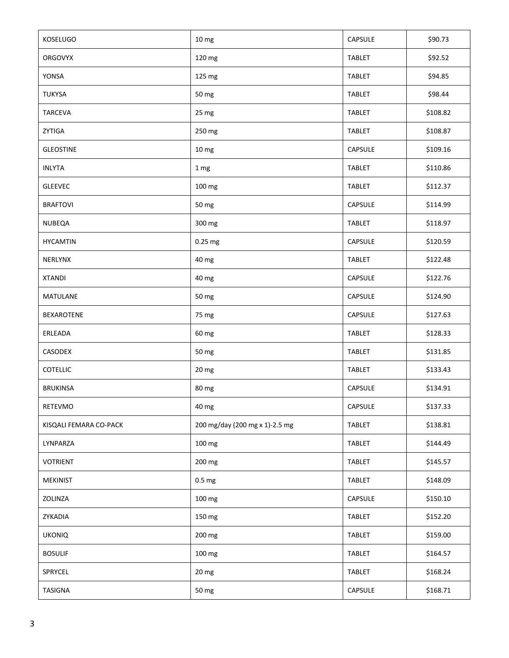| <b>KOSELUGO</b>        | 10 mg                          | <b>CAPSULE</b> | \$90.73  |
|------------------------|--------------------------------|----------------|----------|
| <b>ORGOVYX</b>         | 120 mg                         | <b>TABLET</b>  | \$92.52  |
| <b>YONSA</b>           | 125 mg                         | <b>TABLET</b>  | \$94.85  |
| <b>TUKYSA</b>          | 50 mg                          | <b>TABLET</b>  | \$98.44  |
| TARCEVA                | 25 mg                          | <b>TABLET</b>  | \$108.82 |
| ZYTIGA                 | 250 mg                         | <b>TABLET</b>  | \$108.87 |
| <b>GLEOSTINE</b>       | 10 mg                          | CAPSULE        | \$109.16 |
| <b>INLYTA</b>          | 1 mg                           | <b>TABLET</b>  | \$110.86 |
| <b>GLEEVEC</b>         | 100 mg                         | <b>TABLET</b>  | \$112.37 |
| <b>BRAFTOVI</b>        | 50 mg                          | CAPSULE        | \$114.99 |
| NUBEQA                 | 300 mg                         | <b>TABLET</b>  | \$118.97 |
| <b>HYCAMTIN</b>        | 0.25 mg                        | <b>CAPSULE</b> | \$120.59 |
| <b>NERLYNX</b>         | 40 mg                          | <b>TABLET</b>  | \$122.48 |
| <b>XTANDI</b>          | 40 mg                          | CAPSULE        | \$122.76 |
| <b>MATULANE</b>        | 50 mg                          | CAPSULE        | \$124.90 |
| <b>BEXAROTENE</b>      | 75 mg                          | CAPSULE        | \$127.63 |
| ERLEADA                | 60 mg                          | <b>TABLET</b>  | \$128.33 |
| CASODEX                | 50 mg                          | <b>TABLET</b>  | \$131.85 |
| <b>COTELLIC</b>        | 20 mg                          | <b>TABLET</b>  | \$133.43 |
| <b>BRUKINSA</b>        | 80 mg                          | CAPSULE        | \$134.91 |
| RETEVMO                | 40 mg                          | CAPSULE        | \$137.33 |
| KISQALI FEMARA CO-PACK | 200 mg/day (200 mg x 1)-2.5 mg | <b>TABLET</b>  | \$138.81 |
| LYNPARZA               | 100 mg                         | <b>TABLET</b>  | \$144.49 |
| <b>VOTRIENT</b>        | 200 mg                         | <b>TABLET</b>  | \$145.57 |
| <b>MEKINIST</b>        | 0.5 <sub>mg</sub>              | TABLET         | \$148.09 |
| ZOLINZA                | 100 mg                         | CAPSULE        | \$150.10 |
| ZYKADIA                | 150 mg                         | <b>TABLET</b>  | \$152.20 |
| <b>UKONIQ</b>          | 200 mg                         | <b>TABLET</b>  | \$159.00 |
| <b>BOSULIF</b>         | 100 mg                         | <b>TABLET</b>  | \$164.57 |
| SPRYCEL                | 20 mg                          | <b>TABLET</b>  | \$168.24 |
| <b>TASIGNA</b>         | 50 mg                          | CAPSULE        | \$168.71 |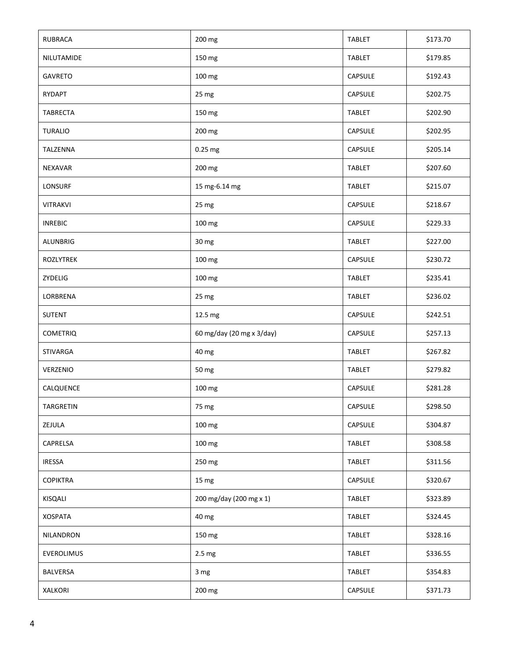| <b>RUBRACA</b>  | 200 mg                    | <b>TABLET</b>  | \$173.70 |
|-----------------|---------------------------|----------------|----------|
| NILUTAMIDE      | 150 mg                    | <b>TABLET</b>  | \$179.85 |
| <b>GAVRETO</b>  | 100 mg                    | CAPSULE        | \$192.43 |
| RYDAPT          | 25 mg                     | <b>CAPSULE</b> | \$202.75 |
| <b>TABRECTA</b> | 150 mg                    | <b>TABLET</b>  | \$202.90 |
| <b>TURALIO</b>  | 200 mg                    | <b>CAPSULE</b> | \$202.95 |
| TALZENNA        | 0.25 mg                   | CAPSULE        | \$205.14 |
| <b>NEXAVAR</b>  | 200 mg                    | <b>TABLET</b>  | \$207.60 |
| LONSURF         | 15 mg-6.14 mg             | <b>TABLET</b>  | \$215.07 |
| <b>VITRAKVI</b> | 25 mg                     | CAPSULE        | \$218.67 |
| <b>INREBIC</b>  | 100 mg                    | CAPSULE        | \$229.33 |
| <b>ALUNBRIG</b> | 30 mg                     | <b>TABLET</b>  | \$227.00 |
| ROZLYTREK       | 100 mg                    | CAPSULE        | \$230.72 |
| ZYDELIG         | 100 mg                    | <b>TABLET</b>  | \$235.41 |
| LORBRENA        | 25 mg                     | <b>TABLET</b>  | \$236.02 |
| <b>SUTENT</b>   | 12.5 mg                   | CAPSULE        | \$242.51 |
| <b>COMETRIQ</b> | 60 mg/day (20 mg x 3/day) | CAPSULE        | \$257.13 |
| <b>STIVARGA</b> | 40 mg                     | <b>TABLET</b>  | \$267.82 |
| VERZENIO        | 50 mg                     | <b>TABLET</b>  | \$279.82 |
| CALQUENCE       | 100 mg                    | CAPSULE        | \$281.28 |
| TARGRETIN       | 75 mg                     | <b>CAPSULE</b> | \$298.50 |
| ZEJULA          | 100 mg                    | CAPSULE        | \$304.87 |
| CAPRELSA        | 100 mg                    | <b>TABLET</b>  | \$308.58 |
| <b>IRESSA</b>   | 250 mg                    | <b>TABLET</b>  | \$311.56 |
| <b>COPIKTRA</b> | 15 mg                     | CAPSULE        | \$320.67 |
| KISQALI         | 200 mg/day (200 mg x 1)   | TABLET         | \$323.89 |
| <b>XOSPATA</b>  | 40 mg                     | <b>TABLET</b>  | \$324.45 |
| NILANDRON       | 150 mg                    | <b>TABLET</b>  | \$328.16 |
| EVEROLIMUS      | 2.5 <sub>mg</sub>         | <b>TABLET</b>  | \$336.55 |
| BALVERSA        | 3 mg                      | <b>TABLET</b>  | \$354.83 |
| XALKORI         | 200 mg                    | CAPSULE        | \$371.73 |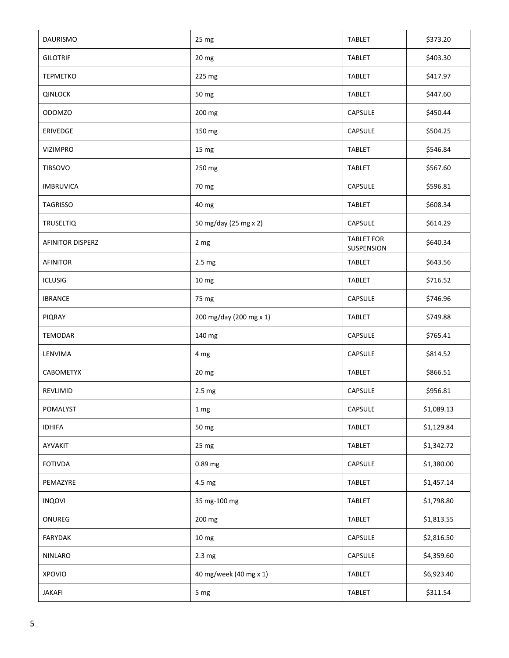| <b>DAURISMO</b>         | 25 mg                   | <b>TABLET</b>                   | \$373.20   |
|-------------------------|-------------------------|---------------------------------|------------|
| <b>GILOTRIF</b>         | 20 mg                   | <b>TABLET</b>                   | \$403.30   |
| <b>TEPMETKO</b>         | 225 mg                  | <b>TABLET</b>                   | \$417.97   |
| <b>QINLOCK</b>          | 50 mg                   | <b>TABLET</b>                   | \$447.60   |
| ODOMZO                  | 200 mg                  | CAPSULE                         | \$450.44   |
| ERIVEDGE                | 150 mg                  | CAPSULE                         | \$504.25   |
| <b>VIZIMPRO</b>         | 15 mg                   | <b>TABLET</b>                   | \$546.84   |
| <b>TIBSOVO</b>          | 250 mg                  | <b>TABLET</b>                   | \$567.60   |
| <b>IMBRUVICA</b>        | 70 mg                   | CAPSULE                         | \$596.81   |
| TAGRISSO                | 40 mg                   | <b>TABLET</b>                   | \$608.34   |
| <b>TRUSELTIQ</b>        | 50 mg/day (25 mg x 2)   | <b>CAPSULE</b>                  | \$614.29   |
| <b>AFINITOR DISPERZ</b> | 2 mg                    | <b>TABLET FOR</b><br>SUSPENSION | \$640.34   |
| <b>AFINITOR</b>         | 2.5 <sub>mg</sub>       | <b>TABLET</b>                   | \$643.56   |
| <b>ICLUSIG</b>          | 10 <sub>mg</sub>        | <b>TABLET</b>                   | \$716.52   |
| <b>IBRANCE</b>          | 75 mg                   | CAPSULE                         | \$746.96   |
| <b>PIQRAY</b>           | 200 mg/day (200 mg x 1) | <b>TABLET</b>                   | \$749.88   |
| <b>TEMODAR</b>          | 140 mg                  | CAPSULE                         | \$765.41   |
| LENVIMA                 | 4 mg                    | CAPSULE                         | \$814.52   |
| <b>CABOMETYX</b>        | 20 mg                   | <b>TABLET</b>                   | \$866.51   |
| REVLIMID                | 2.5 mg                  | CAPSULE                         | \$956.81   |
| POMALYST                | 1 <sub>mg</sub>         | CAPSULE                         | \$1,089.13 |
| <b>IDHIFA</b>           | 50 mg                   | <b>TABLET</b>                   | \$1,129.84 |
| AYVAKIT                 | 25 mg                   | <b>TABLET</b>                   | \$1,342.72 |
| <b>FOTIVDA</b>          | 0.89 mg                 | CAPSULE                         | \$1,380.00 |
| PEMAZYRE                | 4.5 mg                  | <b>TABLET</b>                   | \$1,457.14 |
| <b>INQOVI</b>           | 35 mg-100 mg            | TABLET                          | \$1,798.80 |
| ONUREG                  | 200 mg                  | <b>TABLET</b>                   | \$1,813.55 |
| <b>FARYDAK</b>          | 10 mg                   | CAPSULE                         | \$2,816.50 |
| NINLARO                 | 2.3 <sub>mg</sub>       | CAPSULE                         | \$4,359.60 |
| <b>XPOVIO</b>           | 40 mg/week (40 mg x 1)  | <b>TABLET</b>                   | \$6,923.40 |
| <b>JAKAFI</b>           | 5 mg                    | <b>TABLET</b>                   | \$311.54   |